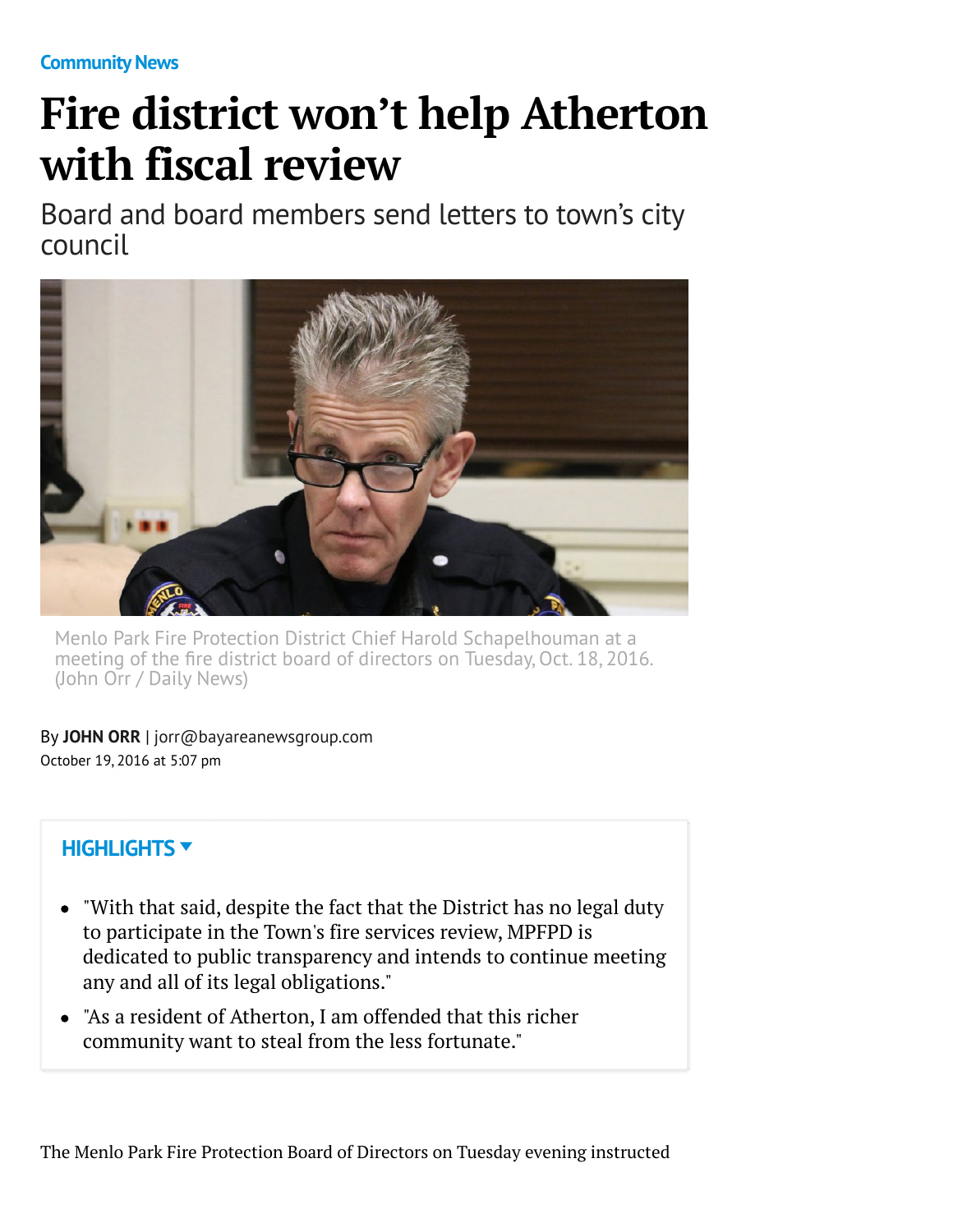**[Community News](http://www.mercurynews.com/community-news/)**

## **Fire district won't help Atherton with fiscal review**

Board and board members send letters to town's city council



Menlo Park Fire Protection District Chief Harold Schapelhouman at a meeting of the fire district board of directors on Tuesday, Oct. 18, 2016. (John Orr / Daily News)

By **[JOHN ORR](http://www.mercurynews.com/author/john-orr/)** | [jorr@bayareanewsgroup.com](mailto:jorr@bayareanewsgroup.com) October 19, 2016 at 5:07 pm

## **HIGHLIGHTS**

- "With that said, despite the fact that the District has no legal duty to participate in the Town's fire services review, MPFPD is dedicated to public transparency and intends to continue meeting any and all of its legal obligations."
- "As a resident of Atherton, I am offended that this richer community want to steal from the less fortunate."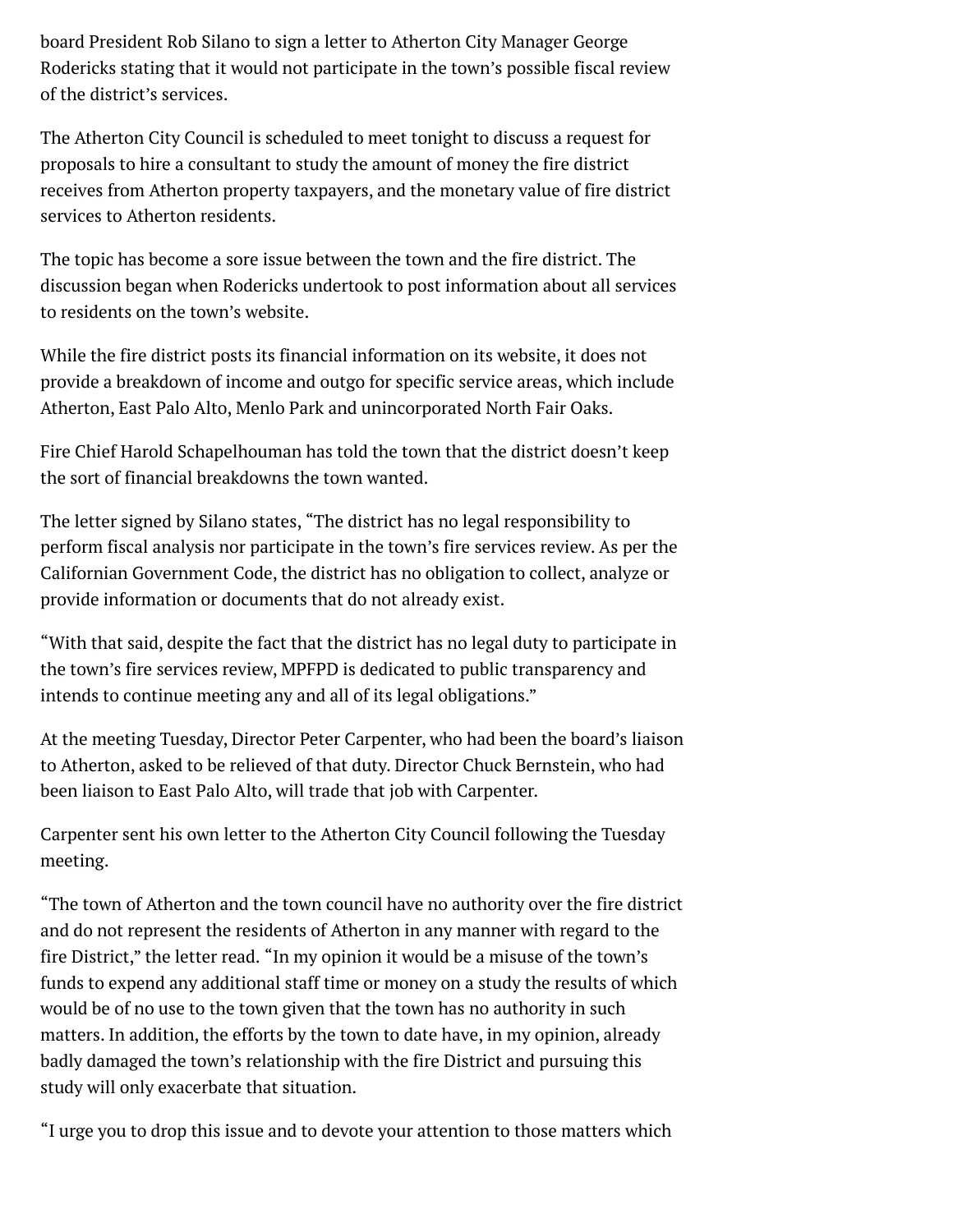board President Rob Silano to sign a letter to Atherton City Manager George Rodericks stating that it would not participate in the town's possible fiscal review of the district's services.

The Atherton City Council is scheduled to meet tonight to discuss a request for proposals to hire a consultant to study the amount of money the fire district receives from Atherton property taxpayers, and the monetary value of fire district services to Atherton residents.

The topic has become a sore issue between the town and the fire district. The discussion began when Rodericks undertook to post information about all services to residents on the town's website.

While the fire district posts its financial information on its website, it does not provide a breakdown of income and outgo for specific service areas, which include Atherton, East Palo Alto, Menlo Park and unincorporated North Fair Oaks.

Fire Chief Harold Schapelhouman has told the town that the district doesn't keep the sort of financial breakdowns the town wanted.

The letter signed by Silano states, "The district has no legal responsibility to perform fiscal analysis nor participate in the town's fire services review. As per the Californian Government Code, the district has no obligation to collect, analyze or provide information or documents that do not already exist.

"With that said, despite the fact that the district has no legal duty to participate in the town's fire services review, MPFPD is dedicated to public transparency and intends to continue meeting any and all of its legal obligations."

At the meeting Tuesday, Director Peter Carpenter, who had been the board's liaison to Atherton, asked to be relieved of that duty. Director Chuck Bernstein, who had been liaison to East Palo Alto, will trade that job with Carpenter.

Carpenter sent his own letter to the Atherton City Council following the Tuesday meeting.

"The town of Atherton and the town council have no authority over the fire district and do not represent the residents of Atherton in any manner with regard to the fire District," the letter read. "In my opinion it would be a misuse of the town's funds to expend any additional staff time or money on a study the results of which would be of no use to the town given that the town has no authority in such matters. In addition, the efforts by the town to date have, in my opinion, already badly damaged the town's relationship with the fire District and pursuing this study will only exacerbate that situation.

"I urge you to drop this issue and to devote your attention to those matters which